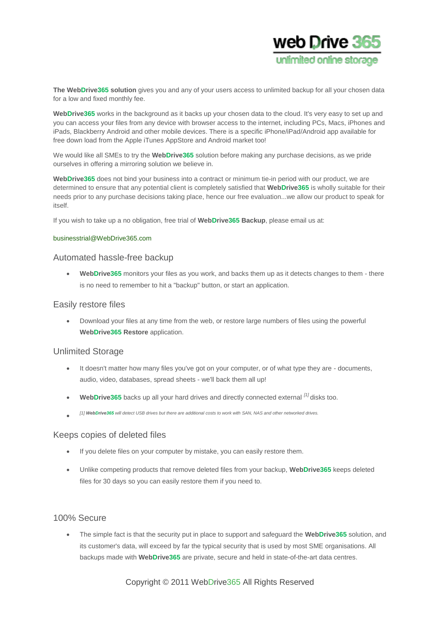

**The WebDrive365 solution** gives you and any of your users access to unlimited backup for all your chosen data for a low and fixed monthly fee.

WebDrive365 works in the background as it backs up your chosen data to the cloud. It's very easy to set up and you can access your files from any device with browser access to the internet, including PCs, Macs, iPhones and iPads, Blackberry Android and other mobile devices. There is a specific iPhone/iPad/Android app available for free down load from the Apple iTunes AppStore and Android market too!

We would like all SMEs to try the **WebDrive365** solution before making any purchase decisions, as we pride ourselves in offering a mirroring solution we believe in.

**WebDrive365** does not bind your business into a contract or minimum tie-in period with our product, we are determined to ensure that any potential client is completely satisfied that **WebDrive365** is wholly suitable for their needs prior to any purchase decisions taking place, hence our free evaluation...we allow our product to speak for itself.

If you wish to take up a no obligation, free trial of **WebDrive365 Backup**, please email us at:

#### [businesstrial@WebDrive365.com](mailto:%20businesstrial@webdrive365.com)

#### Automated hassle-free backup

 **WebDrive365** monitors your files as you work, and backs them up as it detects changes to them - there is no need to remember to hit a "backup" button, or start an application.

### Easily restore files

 Download your files at any time from the web, or restore large numbers of files using the powerful **WebDrive365 Restore** application.

#### Unlimited Storage

- It doesn't matter how many files you've got on your computer, or of what type they are documents, audio, video, databases, spread sheets - we'll back them all up!
- **WebDrive365** backs up all your hard drives and directly connected external *[1]* disks too.
- $\bullet$ *[1] WebDrive365 will detect USB drives but there are additional costs to work with SAN, NAS and other networked drives.*

#### Keeps copies of deleted files

- If you delete files on your computer by mistake, you can easily restore them.
- Unlike competing products that remove deleted files from your backup, **WebDrive365** keeps deleted files for 30 days so you can easily restore them if you need to.

### 100% Secure

 The simple fact is that the security put in place to support and safeguard the **WebDrive365** solution, and its customer's data, will exceed by far the typical security that is used by most SME organisations. All backups made with **WebDrive365** are private, secure and held in state-of-the-art data centres.